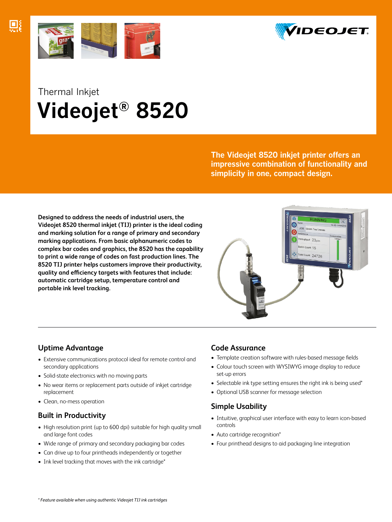





# Thermal Inkjet  **Videojet® 8520**

**The Videojet 8520 inkjet printer offers an impressive combination of functionality and simplicity in one, compact design.**

**Designed to address the needs of industrial users, the Videojet 8520 thermal inkjet (TIJ) printer is the ideal coding and marking solution for a range of primary and secondary marking applications. From basic alphanumeric codes to complex bar codes and graphics, the 8520 has the capability to print a wide range of codes on fast production lines. The 8520 TIJ printer helps customers improve their productivity, quality and efficiency targets with features that include: automatic cartridge setup, temperature control and portable ink level tracking.**



## **Uptime Advantage**

- Extensive communications protocol ideal for remote control and secondary applications
- Solid-state electronics with no moving parts
- No wear items or replacement parts outside of inkjet cartridge replacement
- Clean, no-mess operation

## **Built in Productivity**

- High resolution print (up to 600 dpi) suitable for high quality small and large font codes
- Wide range of primary and secondary packaging bar codes
- Can drive up to four printheads independently or together
- Ink level tracking that moves with the ink cartridge\*

## **Code Assurance**

- Template creation software with rules-based message fields
- Colour touch screen with WYSIWYG image display to reduce set-up errors
- Selectable ink type setting ensures the right ink is being used\*
- Optional USB scanner for message selection

## **Simple Usability**

- Intuitive, graphical user interface with easy to learn icon-based controls
- Auto cartridge recognition\*
- Four printhead designs to aid packaging line integration